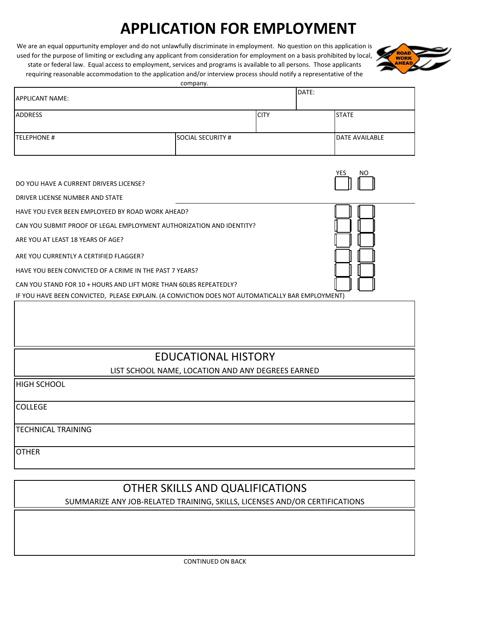## **APPLICATION FOR EMPLOYMENT**

We are an equal oppurtunity employer and do not unlawfully discriminate in employment. No question on this application is used for the purpose of limiting or excluding any applicant from consideration for employment on a basis prohibited by local, state or federal law. Equal access to employment, services and programs is available to all persons. Those applicants requiring reasonable accommodation to the application and/or interview process should notify a representative of the



company.

| <b>APPLICANT NAME:</b>                                                                                                                                                                                                                                                                                                                                                                                                                      |                                                   |             | DATE:             |                |  |
|---------------------------------------------------------------------------------------------------------------------------------------------------------------------------------------------------------------------------------------------------------------------------------------------------------------------------------------------------------------------------------------------------------------------------------------------|---------------------------------------------------|-------------|-------------------|----------------|--|
| <b>ADDRESS</b>                                                                                                                                                                                                                                                                                                                                                                                                                              |                                                   | <b>CITY</b> | <b>STATE</b>      |                |  |
| <b>TELEPHONE #</b>                                                                                                                                                                                                                                                                                                                                                                                                                          | <b>SOCIAL SECURITY #</b>                          |             |                   | DATE AVAILABLE |  |
| DO YOU HAVE A CURRENT DRIVERS LICENSE?<br>DRIVER LICENSE NUMBER AND STATE                                                                                                                                                                                                                                                                                                                                                                   |                                                   |             | <b>YES</b><br>NO. |                |  |
| HAVE YOU EVER BEEN EMPLOYEED BY ROAD WORK AHEAD?<br>CAN YOU SUBMIT PROOF OF LEGAL EMPLOYMENT AUTHORIZATION AND IDENTITY?<br>ARE YOU AT LEAST 18 YEARS OF AGE?<br>ARE YOU CURRENTLY A CERTIFIED FLAGGER?<br>HAVE YOU BEEN CONVICTED OF A CRIME IN THE PAST 7 YEARS?<br>CAN YOU STAND FOR 10 + HOURS AND LIFT MORE THAN 60LBS REPEATEDLY?<br>IF YOU HAVE BEEN CONVICTED, PLEASE EXPLAIN. (A CONVICTION DOES NOT AUTOMATICALLY BAR EMPLOYMENT) |                                                   |             |                   |                |  |
|                                                                                                                                                                                                                                                                                                                                                                                                                                             |                                                   |             |                   |                |  |
|                                                                                                                                                                                                                                                                                                                                                                                                                                             | <b>EDUCATIONAL HISTORY</b>                        |             |                   |                |  |
|                                                                                                                                                                                                                                                                                                                                                                                                                                             | LIST SCHOOL NAME, LOCATION AND ANY DEGREES EARNED |             |                   |                |  |
| <b>HIGH SCHOOL</b>                                                                                                                                                                                                                                                                                                                                                                                                                          |                                                   |             |                   |                |  |
| <b>COLLEGE</b>                                                                                                                                                                                                                                                                                                                                                                                                                              |                                                   |             |                   |                |  |
| <b>TECHNICAL TRAINING</b>                                                                                                                                                                                                                                                                                                                                                                                                                   |                                                   |             |                   |                |  |
| <b>OTHER</b>                                                                                                                                                                                                                                                                                                                                                                                                                                |                                                   |             |                   |                |  |

## OTHER SKILLS AND QUALIFICATIONS

SUMMARIZE ANY JOB-RELATED TRAINING, SKILLS, LICENSES AND/OR CERTIFICATIONS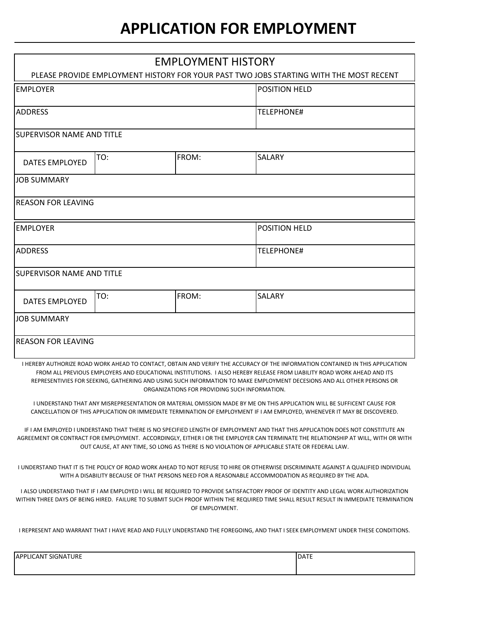## **APPLICATION FOR EMPLOYMENT**

| <b>EMPLOYMENT HISTORY</b>                                                                                                                                                                                                                                                                                                                                                                                                           |     |       |                      |  |  |
|-------------------------------------------------------------------------------------------------------------------------------------------------------------------------------------------------------------------------------------------------------------------------------------------------------------------------------------------------------------------------------------------------------------------------------------|-----|-------|----------------------|--|--|
| PLEASE PROVIDE EMPLOYMENT HISTORY FOR YOUR PAST TWO JOBS STARTING WITH THE MOST RECENT                                                                                                                                                                                                                                                                                                                                              |     |       |                      |  |  |
| <b>EMPLOYER</b>                                                                                                                                                                                                                                                                                                                                                                                                                     |     |       | <b>POSITION HELD</b> |  |  |
| <b>ADDRESS</b>                                                                                                                                                                                                                                                                                                                                                                                                                      |     |       | <b>TELEPHONE#</b>    |  |  |
| <b>SUPERVISOR NAME AND TITLE</b>                                                                                                                                                                                                                                                                                                                                                                                                    |     |       |                      |  |  |
| <b>DATES EMPLOYED</b>                                                                                                                                                                                                                                                                                                                                                                                                               | TO: | FROM: | <b>SALARY</b>        |  |  |
| <b>JOB SUMMARY</b>                                                                                                                                                                                                                                                                                                                                                                                                                  |     |       |                      |  |  |
| <b>REASON FOR LEAVING</b>                                                                                                                                                                                                                                                                                                                                                                                                           |     |       |                      |  |  |
| <b>IEMPLOYER</b>                                                                                                                                                                                                                                                                                                                                                                                                                    |     |       | <b>POSITION HELD</b> |  |  |
| <b>ADDRESS</b>                                                                                                                                                                                                                                                                                                                                                                                                                      |     |       | <b>TELEPHONE#</b>    |  |  |
| <b>SUPERVISOR NAME AND TITLE</b>                                                                                                                                                                                                                                                                                                                                                                                                    |     |       |                      |  |  |
| <b>DATES EMPLOYED</b>                                                                                                                                                                                                                                                                                                                                                                                                               | TO: | FROM: | <b>SALARY</b>        |  |  |
| <b>JOB SUMMARY</b>                                                                                                                                                                                                                                                                                                                                                                                                                  |     |       |                      |  |  |
| <b>REASON FOR LEAVING</b>                                                                                                                                                                                                                                                                                                                                                                                                           |     |       |                      |  |  |
| I HEREBY AUTHORIZE ROAD WORK AHEAD TO CONTACT, OBTAIN AND VERIFY THE ACCURACY OF THE INFORMATION CONTAINED IN THIS APPLICATION<br>FROM ALL PREVIOUS EMPLOYERS AND EDUCATIONAL INSTITUTIONS. I ALSO HEREBY RELEASE FROM LIABILITY ROAD WORK AHEAD AND ITS<br>REPRESENTIVIES FOR SEEKING, GATHERING AND USING SUCH INFORMATION TO MAKE EMPLOYMENT DECESIONS AND ALL OTHER PERSONS OR<br>ORGANIZATIONS FOR PROVIDING SUCH INFORMATION. |     |       |                      |  |  |

I UNDERSTAND THAT ANY MISREPRESENTATION OR MATERIAL OMISSION MADE BY ME ON THIS APPLICATION WILL BE SUFFICENT CAUSE FOR CANCELLATION OF THIS APPLICATION OR IMMEDIATE TERMINATION OF EMPLOYMENT IF I AM EMPLOYED, WHENEVER IT MAY BE DISCOVERED.

IF I AM EMPLOYED I UNDERSTAND THAT THERE IS NO SPECIFIED LENGTH OF EMPLOYMENT AND THAT THIS APPLICATION DOES NOT CONSTITUTE AN AGREEMENT OR CONTRACT FOR EMPLOYMENT. ACCORDINGLY, EITHER I OR THE EMPLOYER CAN TERMINATE THE RELATIONSHIP AT WILL, WITH OR WITH OUT CAUSE, AT ANY TIME, SO LONG AS THERE IS NO VIOLATION OF APPLICABLE STATE OR FEDERAL LAW.

I UNDERSTAND THAT IT IS THE POLICY OF ROAD WORK AHEAD TO NOT REFUSE TO HIRE OR OTHERWISE DISCRIMINATE AGAINST A QUALIFIED INDIVIDUAL WITH A DISABILITY BECAUSE OF THAT PERSONS NEED FOR A REASONABLE ACCOMMODATION AS REQUIRED BY THE ADA.

I ALSO UNDERSTAND THAT IF I AM EMPLOYED I WILL BE REQUIRED TO PROVIDE SATISFACTORY PROOF OF IDENTITY AND LEGAL WORK AUTHORIZATION WITHIN THREE DAYS OF BEING HIRED. FAILURE TO SUBMIT SUCH PROOF WITHIN THE REQUIRED TIME SHALL RESULT RESULT IN IMMEDIATE TERMINATION OF EMPLOYMENT.

I REPRESENT AND WARRANT THAT I HAVE READ AND FULLY UNDERSTAND THE FOREGOING, AND THAT I SEEK EMPLOYMENT UNDER THESE CONDITIONS.

| <b>LICANT SIGNATURE</b><br><b>APPL</b> | <b>DATE</b> |
|----------------------------------------|-------------|
|                                        |             |